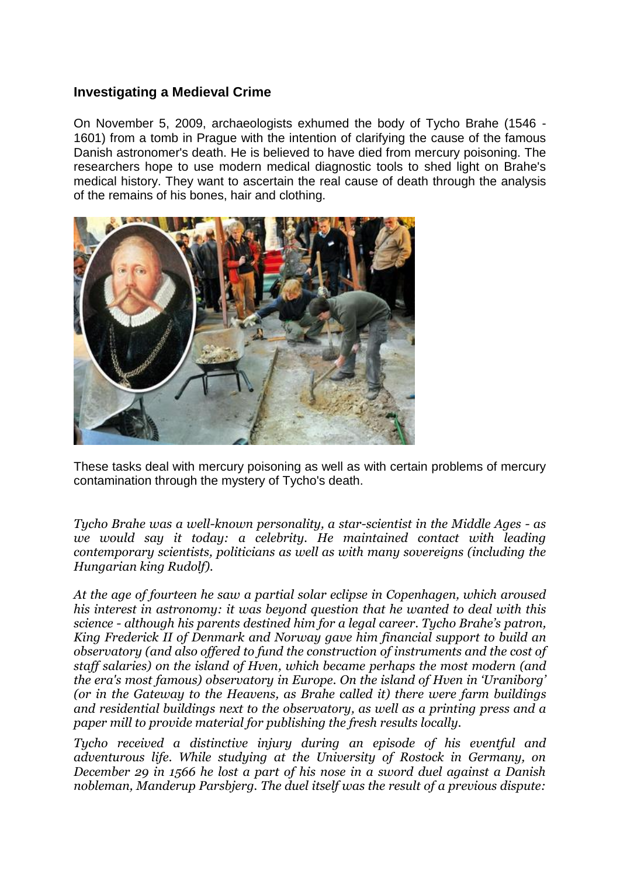### **Investigating a Medieval Crime**

On November 5, 2009, archaeologists exhumed the body of Tycho Brahe (1546 - 1601) from a tomb in Prague with the intention of clarifying the cause of the famous Danish astronomer's death. He is believed to have died from mercury poisoning. The researchers hope to use modern medical diagnostic tools to shed light on Brahe's medical history. They want to ascertain the real cause of death through the analysis of the remains of his bones, hair and clothing.



These tasks deal with mercury poisoning as well as with certain problems of mercury contamination through the mystery of Tycho's death.

*Tycho Brahe was a well-known personality, a star-scientist in the Middle Ages - as we would say it today: a celebrity. He maintained contact with leading contemporary scientists, politicians as well as with many sovereigns (including the Hungarian king Rudolf).*

*At the age of fourteen he saw a partial solar eclipse in Copenhagen, which aroused his interest in astronomy: it was beyond question that he wanted to deal with this science - although his parents destined him for a legal career. Tycho Brahe's patron, King Frederick II of Denmark and Norway gave him financial support to build an observatory (and also offered to fund the construction of instruments and the cost of staff salaries) on the island of Hven, which became perhaps the most modern (and the era's most famous) observatory in Europe. On the island of Hven in 'Uraniborg' (or in the Gateway to the Heavens, as Brahe called it) there were farm buildings and residential buildings next to the observatory, as well as a printing press and a paper mill to provide material for publishing the fresh results locally.*

*Tycho received a distinctive injury during an episode of his eventful and adventurous life. While studying at the University of Rostock in Germany, on December 29 in 1566 he lost a part of his nose in a sword duel against a Danish nobleman, Manderup Parsbjerg. The duel itself was the result of a previous dispute:*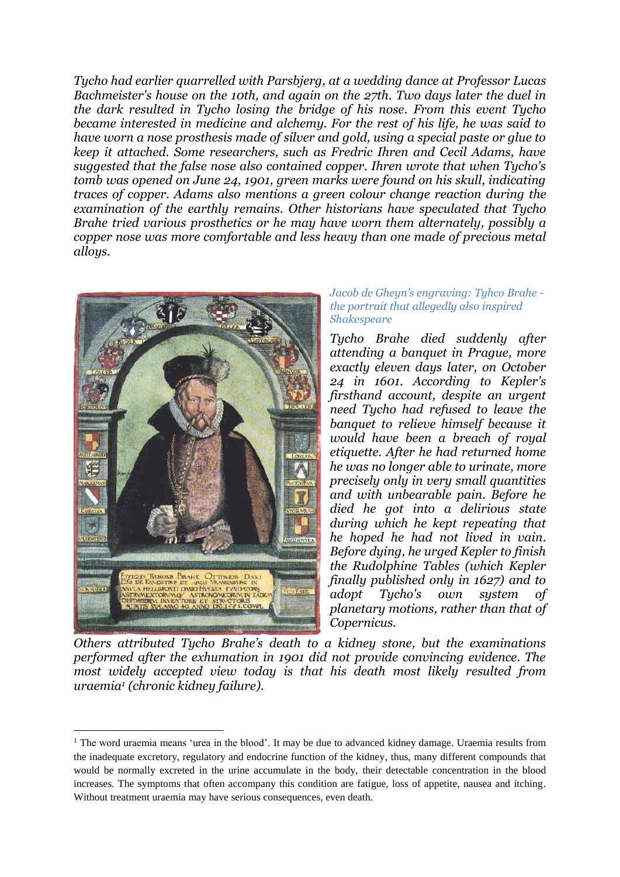*Tycho had earlier quarrelled with Parsbjerg, at a wedding dance at Professor Lucas Bachmeister's house on the 10th, and again on the 27th. Two days later the duel in the dark resulted in Tycho losing the bridge of his nose. From this event Tycho became interested in medicine and alchemy. For the rest of his life, he was said to have worn a nose prosthesis made of silver and gold, using a special paste or glue to keep it attached. Some researchers, such as Fredric Ihren and Cecil Adams, have suggested that the false nose also contained copper. Ihren wrote that when Tycho's tomb was opened on June 24, 1901, green marks were found on his skull, indicating traces of copper. Adams also mentions a green colour change reaction during the examination of the earthly remains. Other historians have speculated that Tycho Brahe tried various prosthetics or he may have worn them alternately, possibly a copper nose was more comfortable and less heavy than one made of precious metal alloys.*



1

#### *Jacob de Gheyn's engraving: Tyhco Brahe the portrait that allegedly also inspired Shakespeare*

*Tycho Brahe died suddenly after attending a banquet in Prague, more exactly eleven days later, on October 24 in 1601. According to Kepler's firsthand account, despite an urgent need Tycho had refused to leave the banquet to relieve himself because it would have been a breach of royal etiquette. After he had returned home he was no longer able to urinate, more precisely only in very small quantities and with unbearable pain. Before he died he got into a delirious state during which he kept repeating that he hoped he had not lived in vain. Before dying, he urged Kepler to finish the Rudolphine Tables (which Kepler finally published only in 1627) and to adopt Tycho's own system of planetary motions, rather than that of Copernicus.*

*Others attributed Tycho Brahe's death to a kidney stone, but the examinations performed after the exhumation in 1901 did not provide convincing evidence. The most widely accepted view today is that his death most likely resulted from uraemia<sup>1</sup> (chronic kidney failure).*

<sup>1</sup> The word uraemia means 'urea in the blood'. It may be due to advanced kidney damage. Uraemia results from the inadequate excretory, regulatory and endocrine function of the kidney, thus, many different compounds that would be normally excreted in the urine accumulate in the body, their detectable concentration in the blood increases. The symptoms that often accompany this condition are fatigue, loss of appetite, nausea and itching. Without treatment uraemia may have serious consequences, even death.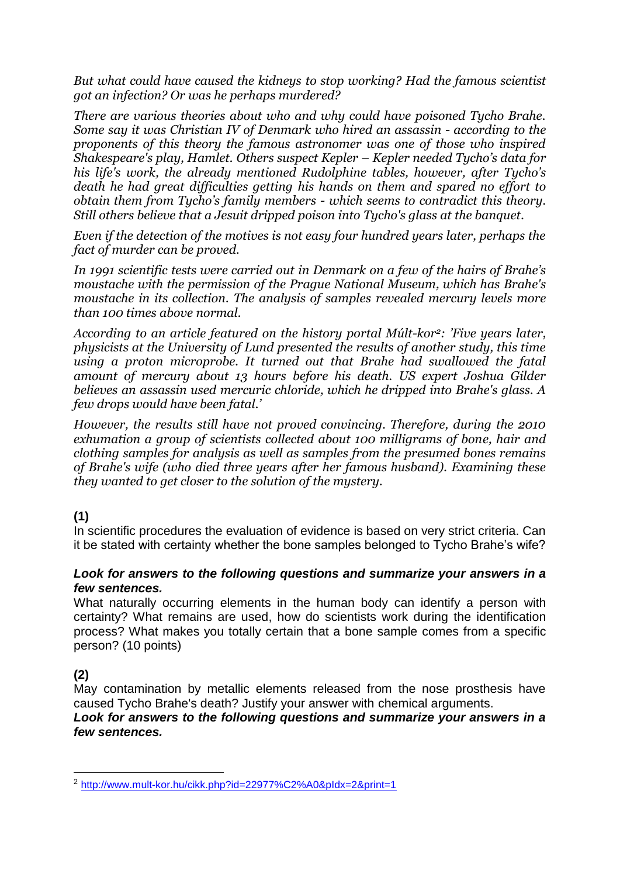*But what could have caused the kidneys to stop working? Had the famous scientist got an infection? Or was he perhaps murdered?* 

*There are various theories about who and why could have poisoned Tycho Brahe. Some say it was Christian IV of Denmark who hired an assassin - according to the proponents of this theory the famous astronomer was one of those who inspired Shakespeare's play, Hamlet. Others suspect Kepler – Kepler needed Tycho's data for his life's work, the already mentioned Rudolphine tables, however, after Tycho's death he had great difficulties getting his hands on them and spared no effort to obtain them from Tycho's family members - which seems to contradict this theory. Still others believe that a Jesuit dripped poison into Tycho's glass at the banquet.*

*Even if the detection of the motives is not easy four hundred years later, perhaps the fact of murder can be proved.*

*In 1991 scientific tests were carried out in Denmark on a few of the hairs of Brahe's moustache with the permission of the Prague National Museum, which has Brahe's moustache in its collection. The analysis of samples revealed mercury levels more than 100 times above normal.*

*According to an article featured on the history portal Múlt-kor2: 'Five years later, physicists at the University of Lund presented the results of another study, this time using a proton microprobe. It turned out that Brahe had swallowed the fatal amount of mercury about 13 hours before his death. US expert Joshua Gilder believes an assassin used mercuric chloride, which he dripped into Brahe's glass. A few drops would have been fatal.'*

*However, the results still have not proved convincing. Therefore, during the 2010 exhumation a group of scientists collected about 100 milligrams of bone, hair and clothing samples for analysis as well as samples from the presumed bones remains of Brahe's wife (who died three years after her famous husband). Examining these they wanted to get closer to the solution of the mystery.*

### **(1)**

In scientific procedures the evaluation of evidence is based on very strict criteria. Can it be stated with certainty whether the bone samples belonged to Tycho Brahe's wife?

#### *Look for answers to the following questions and summarize your answers in a few sentences.*

What naturally occurring elements in the human body can identify a person with certainty? What remains are used, how do scientists work during the identification process? What makes you totally certain that a bone sample comes from a specific person? (10 points)

# **(2)**

-

May contamination by metallic elements released from the nose prosthesis have caused Tycho Brahe's death? Justify your answer with chemical arguments.

#### *Look for answers to the following questions and summarize your answers in a few sentences.*

<sup>2</sup> <http://www.mult-kor.hu/cikk.php?id=22977%C2%A0&pIdx=2&print=1>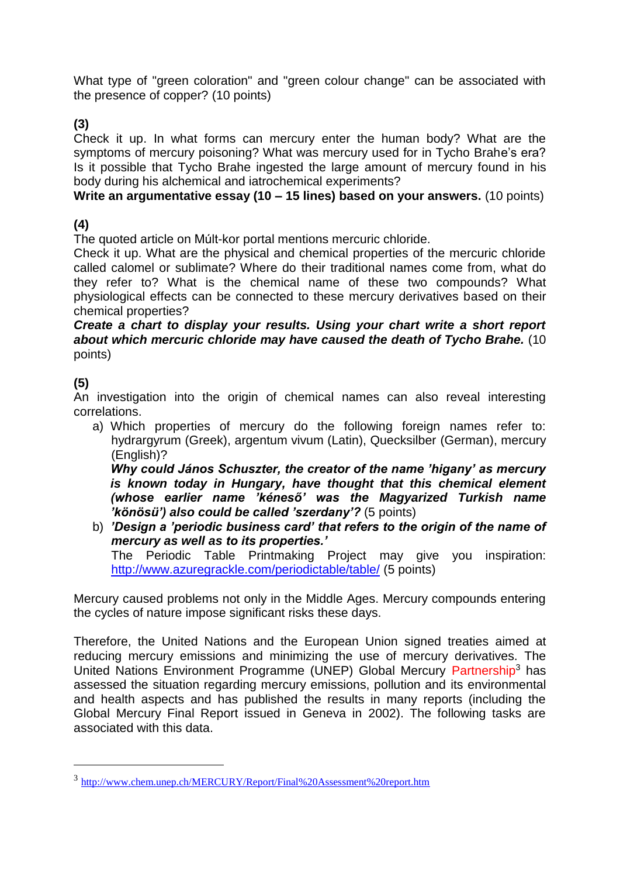What type of "green coloration" and "green colour change" can be associated with the presence of copper? (10 points)

## **(3)**

Check it up. In what forms can mercury enter the human body? What are the symptoms of mercury poisoning? What was mercury used for in Tycho Brahe's era? Is it possible that Tycho Brahe ingested the large amount of mercury found in his body during his alchemical and iatrochemical experiments?

### **Write an argumentative essay (10 – 15 lines) based on your answers.** (10 points)

## **(4)**

The quoted article on Múlt-kor portal mentions mercuric chloride.

Check it up. What are the physical and chemical properties of the mercuric chloride called calomel or sublimate? Where do their traditional names come from, what do they refer to? What is the chemical name of these two compounds? What physiological effects can be connected to these mercury derivatives based on their chemical properties?

*Create a chart to display your results. Using your chart write a short report about which mercuric chloride may have caused the death of Tycho Brahe.* (10 points)

# **(5)**

1

An investigation into the origin of chemical names can also reveal interesting correlations.

a) Which properties of mercury do the following foreign names refer to: hydrargyrum (Greek), argentum vivum (Latin), Quecksilber (German), mercury (English)?

*Why could János Schuszter, the creator of the name 'higany' as mercury is known today in Hungary, have thought that this chemical element (whose earlier name 'kéneső' was the Magyarized Turkish name 'könösü') also could be called 'szerdany'?* (5 points)

b) *'Design a 'periodic business card' that refers to the origin of the name of mercury as well as to its properties.'*  The Periodic Table Printmaking Project may give you inspiration:

<http://www.azuregrackle.com/periodictable/table/> (5 points)

Mercury caused problems not only in the Middle Ages. Mercury compounds entering the cycles of nature impose significant risks these days.

Therefore, the United Nations and the European Union signed treaties aimed at reducing mercury emissions and minimizing the use of mercury derivatives. The United Nations Environment Programme (UNEP) Global Mercury Partnership<sup>3</sup> has assessed the situation regarding mercury emissions, pollution and its environmental and health aspects and has published the results in many reports (including the Global Mercury Final Report issued in Geneva in 2002). The following tasks are associated with this data.

<sup>3</sup> <http://www.chem.unep.ch/MERCURY/Report/Final%20Assessment%20report.htm>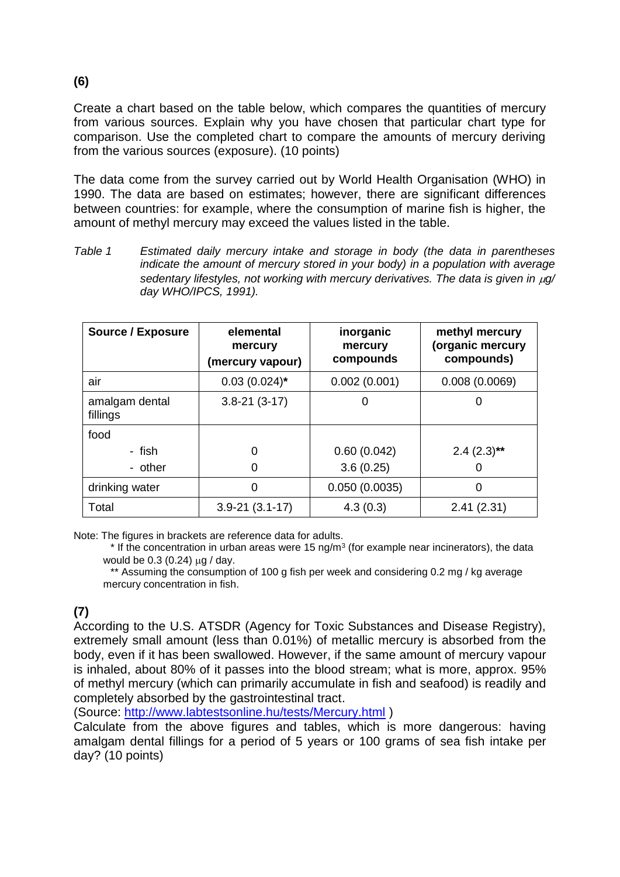Create a chart based on the table below, which compares the quantities of mercury from various sources. Explain why you have chosen that particular chart type for comparison. Use the completed chart to compare the amounts of mercury deriving from the various sources (exposure). (10 points)

The data come from the survey carried out by World Health Organisation (WHO) in 1990. The data are based on estimates; however, there are significant differences between countries: for example, where the consumption of marine fish is higher, the amount of methyl mercury may exceed the values listed in the table.

*Table 1 Estimated daily mercury intake and storage in body (the data in parentheses indicate the amount of mercury stored in your body) in a population with average sedentary lifestyles, not working with mercury derivatives. The data is given in*  $\mu$ *g/ day WHO/IPCS, 1991).*

| <b>Source / Exposure</b>   | elemental<br>mercury<br>(mercury vapour) | inorganic<br>mercury<br>compounds | methyl mercury<br>(organic mercury<br>compounds) |
|----------------------------|------------------------------------------|-----------------------------------|--------------------------------------------------|
| air                        | $0.03(0.024)$ *                          | 0.002(0.001)                      | 0.008(0.0069)                                    |
| amalgam dental<br>fillings | $3.8 - 21(3 - 17)$                       | 0                                 |                                                  |
| food                       |                                          |                                   |                                                  |
| - fish                     | 0                                        | 0.60(0.042)                       | $2.4(2.3)$ **                                    |
| - other                    | 0                                        | 3.6(0.25)                         |                                                  |
| drinking water             | 0                                        | 0.050(0.0035)                     | 0                                                |
| Total                      | $3.9 - 21(3.1 - 17)$                     | 4.3(0.3)                          | 2.41(2.31)                                       |

Note: The figures in brackets are reference data for adults.

 $*$  If the concentration in urban areas were 15 ng/m<sup>3</sup> (for example near incinerators), the data would be  $0.3$  (0.24)  $\mu$ g / day.

\*\* Assuming the consumption of 100 g fish per week and considering 0.2 mg / kg average mercury concentration in fish.

# **(7)**

According to the U.S. ATSDR (Agency for Toxic Substances and Disease Registry), extremely small amount (less than 0.01%) of metallic mercury is absorbed from the body, even if it has been swallowed. However, if the same amount of mercury vapour is inhaled, about 80% of it passes into the blood stream; what is more, approx. 95% of methyl mercury (which can primarily accumulate in fish and seafood) is readily and completely absorbed by the gastrointestinal tract.

(Source:<http://www.labtestsonline.hu/tests/Mercury.html> )

Calculate from the above figures and tables, which is more dangerous: having amalgam dental fillings for a period of 5 years or 100 grams of sea fish intake per day? (10 points)

**(6)**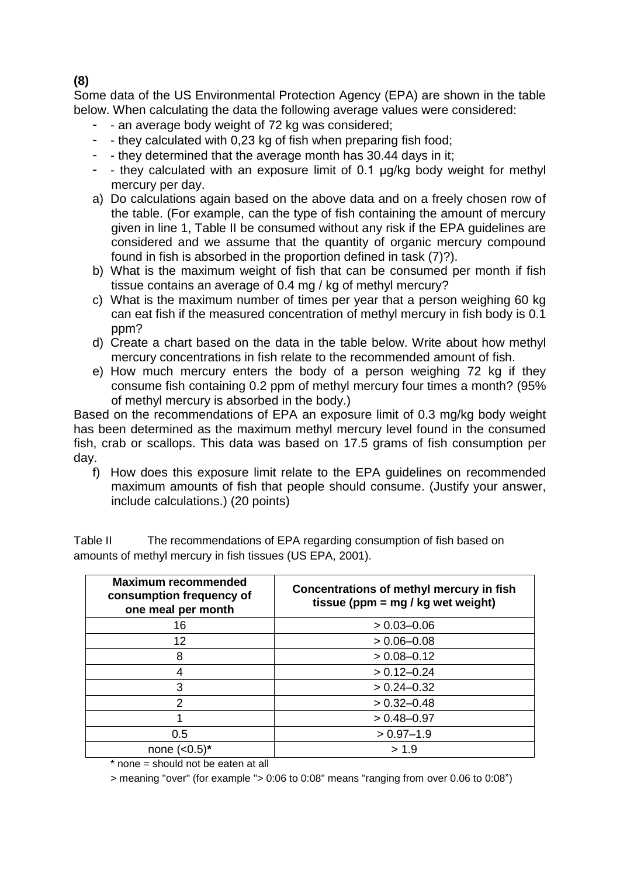Some data of the US Environmental Protection Agency (EPA) are shown in the table below. When calculating the data the following average values were considered:

- - an average body weight of 72 kg was considered;
- - they calculated with 0,23 kg of fish when preparing fish food;
- - they determined that the average month has 30.44 days in it;
- - they calculated with an exposure limit of 0.1 µg/kg body weight for methyl mercury per day.
- a) Do calculations again based on the above data and on a freely chosen row of the table. (For example, can the type of fish containing the amount of mercury given in line 1, Table II be consumed without any risk if the EPA guidelines are considered and we assume that the quantity of organic mercury compound found in fish is absorbed in the proportion defined in task (7)?).
- b) What is the maximum weight of fish that can be consumed per month if fish tissue contains an average of 0.4 mg / kg of methyl mercury?
- c) What is the maximum number of times per year that a person weighing 60 kg can eat fish if the measured concentration of methyl mercury in fish body is 0.1 ppm?
- d) Create a chart based on the data in the table below. Write about how methyl mercury concentrations in fish relate to the recommended amount of fish.
- e) How much mercury enters the body of a person weighing 72 kg if they consume fish containing 0.2 ppm of methyl mercury four times a month? (95% of methyl mercury is absorbed in the body.)

Based on the recommendations of EPA an exposure limit of 0.3 mg/kg body weight has been determined as the maximum methyl mercury level found in the consumed fish, crab or scallops. This data was based on 17.5 grams of fish consumption per day.

f) How does this exposure limit relate to the EPA guidelines on recommended maximum amounts of fish that people should consume. (Justify your answer, include calculations.) (20 points)

| <b>Maximum recommended</b><br>consumption frequency of<br>one meal per month | Concentrations of methyl mercury in fish<br>tissue ( $ppm = mg / kg$ wet weight) |  |  |
|------------------------------------------------------------------------------|----------------------------------------------------------------------------------|--|--|
| 16                                                                           | $> 0.03 - 0.06$                                                                  |  |  |
| 12                                                                           | $> 0.06 - 0.08$                                                                  |  |  |
| 8                                                                            | $> 0.08 - 0.12$                                                                  |  |  |
|                                                                              | $> 0.12 - 0.24$                                                                  |  |  |
| 3                                                                            | $> 0.24 - 0.32$                                                                  |  |  |
| 2                                                                            | $> 0.32 - 0.48$                                                                  |  |  |
|                                                                              | $> 0.48 - 0.97$                                                                  |  |  |
| 0.5                                                                          | $> 0.97 - 1.9$                                                                   |  |  |
| none $(<0.5)^*$                                                              | > 1.9                                                                            |  |  |

Table II The recommendations of EPA regarding consumption of fish based on amounts of methyl mercury in fish tissues (US EPA, 2001).

\* none = should not be eaten at all

> meaning "over" (for example "> 0:06 to 0:08" means "ranging from over 0.06 to 0:08")

#### **(8)**